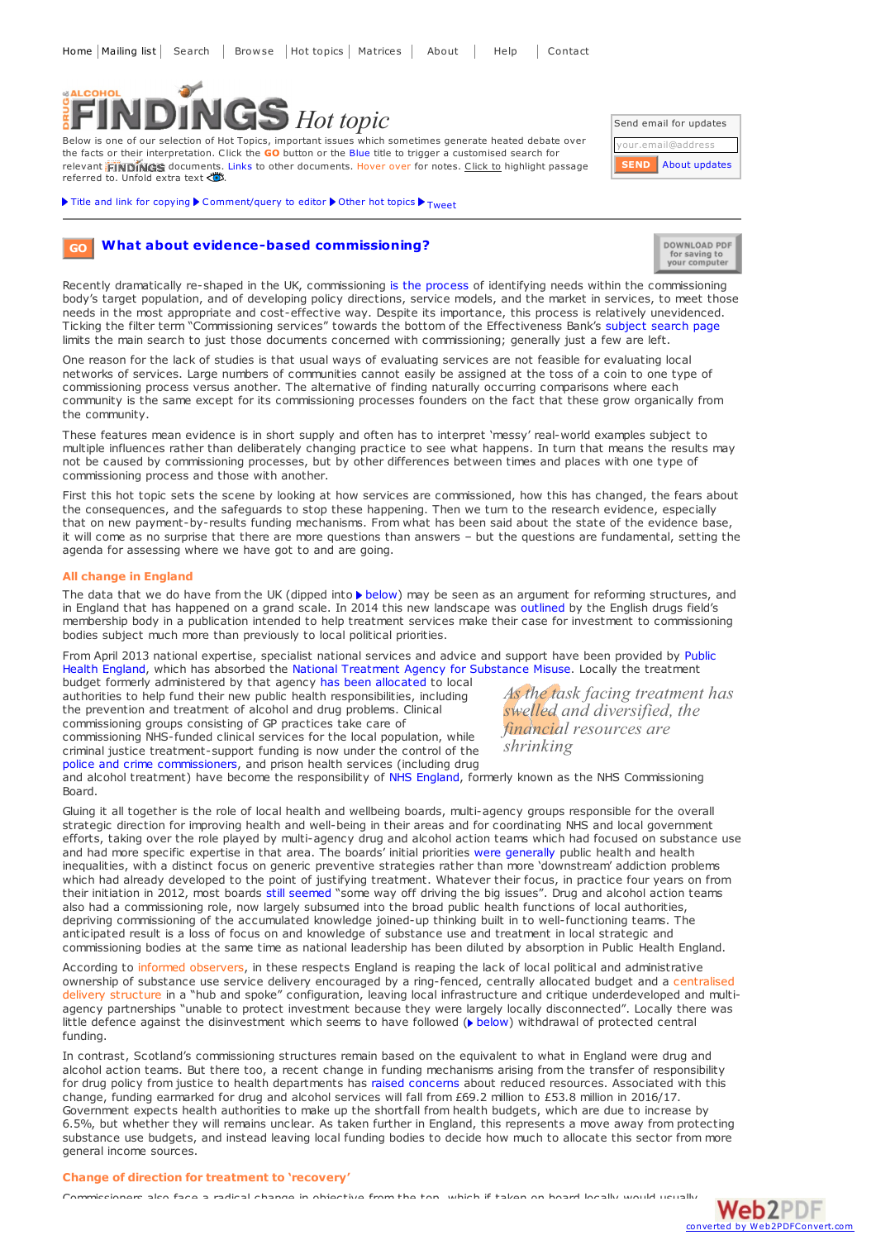# **SALCOHOL** *Hot topic*

Below is one of our selection of Hot Topics, important issues which sometimes generate heated debate over the facts or their interpretation. Click the **GO** button or the Blue title to trigger a customised search for relevant **FINDINGS** documents. Links to other documents. Hover over for notes. Click to highlight passage referred to. Unfold extra text

Title and link for [copying](javascript:;)  $\blacktriangleright$  [Comment/query](mailto:editor@findings.org.uk?Subject=Findings entry: What about evidence-based commissioning?&body=Dear Editor%0A%0ARegarding the Findings document:%0AWhat about evidence-based commissioning?%0Aat:%0Ahttps://findings.org.uk/PHP/dl.php?file=commission.hot%0A%0AI would appreciate your response to this comment/query:%0A[Enter your comment/query here]) to editor  $\blacktriangleright$  [Other](../../hot_topics_archive.php) hot topics  $\blacktriangleright$  [Tweet](https://twitter.com/share)

| Send email for updates |               |
|------------------------|---------------|
| your.email@address     |               |
| <b>SEND</b>            | About updates |

DOWNLOAD PDF for saving to<br>your computer

**What about [evidence-based](https://findings.org.uk/topic_results.php?allCodes%5B%5D=.&othfeat%5B%5D=commissioning&source=hot&sortBy=DateAdded&s=eb) commissioning? GO**

Recently dramatically re-shaped in the UK, commissioning is the [process](https://www.cips.org/Documents/CIPSAWhitePapers/2010/UK_Public_Sector_Concept_Of_Commissioning.pdf) of identifying needs within the commissioning body's target population, and of developing policy directions, service models, and the market in services, to meet those needs in the most appropriate and cost-effective way. Despite its importance, this process is relatively unevidenced. Ticking the filter term "Commissioning services" towards the bottom of the Effectiveness Bank's [subject](https://findings.org.uk/topic_search.php?s=eb) search page limits the main search to just those documents concerned with commissioning; generally just a few are left.

One reason for the lack of studies is that usual ways of evaluating services are not feasible for evaluating local networks of services. Large numbers of communities cannot easily be assigned at the toss of a coin to one type of commissioning process versus another. The alternative of finding naturally occurring comparisons where each community is the same except for its commissioning processes founders on the fact that these grow organically from the community.

These features mean evidence is in short supply and often has to interpret 'messy' real-world examples subject to multiple influences rather than deliberately changing practice to see what happens. In turn that means the r not be caused by commissioning processes, but by other differences between times and places with one type of commissioning process and those with another.

First this hot topic sets the scene by looking at how services are commissioned, how this has changed, the fears about the consequences, and the safeguards to stop these happening. Then we turn to the research evidence, especially that on new payment-by-results funding mechanisms. From what has been said about the state of the evidence base, it will come as no surprise that there are more questions than answers – but the questions are fundamental, setting the agenda for assessing where we have got to and are going.

# **All change in England**

The data that we do have from the UK (dipped into [below](#page-2-0)) may be seen as an argument for reforming structures, and<br>in England that has happened on a grand scale. In 2014 this new landscape was outlined by the English drugs membership body in a publication intended to help treatment services make their case for investment to commissioning bodies subject much more than previously to local political priorities.

From April 2013 national [expertise,](https://www.gov.uk/government/organisations/public-health-england) specialist national services and advice and support have been provided by Public Health England, which has absorbed the National Treatment Agency for [Substance](http://www.nta.nhs.uk/) Misuse. Locally the treatment

budget formerly administered by that agency has been [allocated](https://findings.org.uk/PHP/dl.php?file=DoH_11.txt&s=eb) to local authorities to help fund their new public health responsibilities, including the prevention and treatment of alcohol and drug problems. Clinical commissioning groups consisting of GP practices take care of commissioning NHS-funded clinical services for the local population, while

criminal justice treatment-support funding is now under the control of the police and crime [commissioners](http://www.drugwise.org.uk/wp-content/uploads/sfc-policecrimecommissionersbsbriefing.pdf), and prison health services (including drug

*As the task facing treatment has swelled and diversified, the financial resources are shrinking*

and alcohol treatment) have become the responsibility of NHS [England](http://www.england.nhs.uk/), formerly known as the NHS Commissioning Board.

Gluing it all together is the role of local health and wellbeing boards, multi-agency groups responsible for the overall strategic direction for improving health and well-being in their areas and for coordinating NHS and local government efforts, taking over the role played by multi-agency drug and alcohol action teams which had focused on substance use and had more specific expertise in that area. The boards' initial priorities were [generally](http://www.kingsfund.org.uk/sites/files/kf/field/field_publication_file/health-wellbeing-boards-one-year-on-oct13.pdf) public health and health inequalities, with a distinct focus on generic preventive strategies rather than more 'downstream' addiction problems which had already developed to the point of justifying treatment. Whatever their focus, in practice four years on from their initiation in 2012, most boards still [seemed](http://www.local.gov.uk/documents/10180/6101750/HWB+Shared+Intelligence+report+March+2016+WEB.pdf/392c708e-1591-4b3f-8347-95291fde4f47) "some way off driving the big issues". Drug and alcohol action teams also had a commissioning role, now largely subsumed into the broad public health functions of local authorities, depriving commissioning of the accumulated knowledge joined-up thinking built in to well-functioning teams. The anticipated result is a loss of focus on and knowledge of substance use and treatment in local strategic and commissioning bodies at the same time as national leadership has been diluted by absorption in Public Health England.

According to informed observers, in these respects England is reaping the lack of local political and administrative ownership of substance use service delivery encouraged by a ring-fenced, centrally allocated budget and a centralised delivery structure in a "hub and spoke" configuration, leaving local infrastructure and critique underdeveloped and multiagency partnerships "unable to protect investment because they were largely locally disconnected". Locally there was little defence against the disinvestment which seems to have followed ( $\triangleright$  [below](#page-1-0)) withdrawal of protected central funding.

In contrast, Scotland's commissioning structures remain based on the equivalent to what in England were drug and alcohol action teams. But there too, a recent change in funding mechanisms arising from the transfer of responsibility for drug policy from justice to health departments has raised [concerns](http://www.sdf.org.uk/news-and-media/sdf-news/concern-over-budgets-for-local-alcohol-and-drug-partnerships-in-2016-17/) about reduced resources. Associated with this change, funding earmarked for drug and alcohol services will fall from £69.2 million to £53.8 million in 2016/17. Government expects health authorities to make up the shortfall from health budgets, which are due to increase by 6.5%, but whether they will remains unclear. As taken further in England, this represents a move away from protecting substance use budgets, and instead leaving local funding bodies to decide how much to allocate this sector from more general income sources.

# **Change of direction for treatment to 'recovery'**

ioners also face a radical change in objective from the top, which if taken on board locally would usually

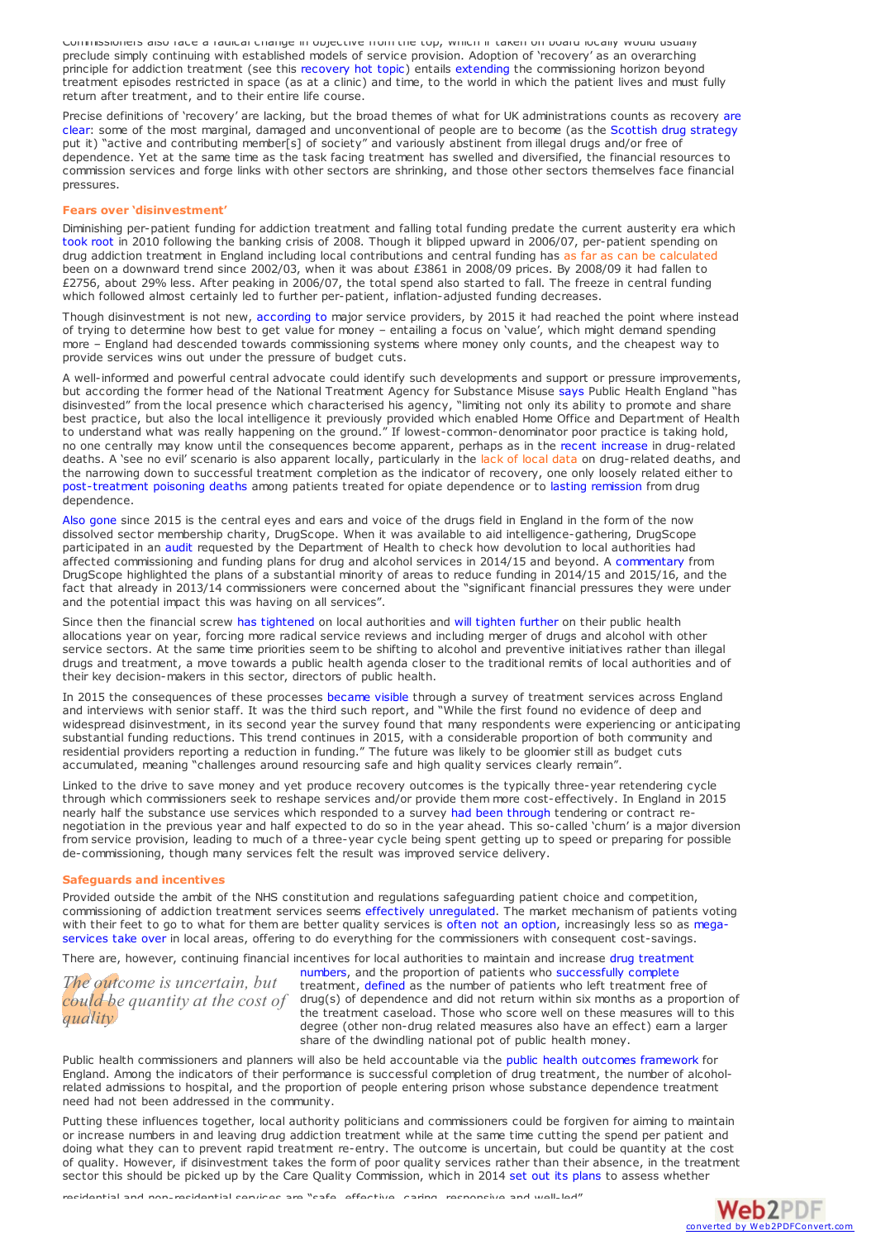Commissioners also face a radical change in objective from the top, which if taken on board locally would usually preclude simply continuing with established models of service provision. Adoption of 'recovery' as an overarching principle for addiction treatment (see this [recovery](https://findings.org.uk/PHP/dl.php?file=reint_recover.hot&s=eb) hot topic) entails [extending](https://findings.org.uk/PHP/dl.php?file=NTA_10.cab&s=eb) the commissioning horizon beyond treatment episodes restricted in space (as at a clinic) and time, to the world in which the patient lives and must fully return after treatment, and to their entire life course.

Precise definitions of 'recovery' are lacking, but the broad themes of what for UK [administrations](https://findings.org.uk/PHP/dl.php?file=reint_recover.hot&s=eb) counts as recovery are clear: some of the most marginal, damaged and unconventional of people are to become (as the Scottish drug [strategy](http://www.scotland.gov.uk/Publications/2008/05/22161610/0) put it) "active and contributing member[s] of society" and variously abstinent from illegal drugs and/or free of dependence. Yet at the same time as the task facing treatment has swelled and diversified, the financial resources to commission services and forge links with other sectors are shrinking, and those other sectors themselves face financial pressures.

#### <span id="page-1-0"></span>**Fears over 'disinvestment'**

Diminishing per-patient funding for addiction treatment and falling total funding predate the current austerity era which [took](https://www.oxfam.org/sites/www.oxfam.org/files/cs-true-cost-austerity-inequality-uk-120913-en.pdf) root in 2010 following the banking crisis of 2008. Though it blipped upward in 2006/07, per-patient spending on drug addiction treatment in England including local contributions and central funding has as far as can be calculated been on a downward trend since 2002/03, when it was about £3861 in 2008/09 prices. By 2008/09 it had fallen to £2756, about 29% less. After peaking in 2006/07, the total spend also started to fall. The freeze in central funding which followed almost certainly led to further per-patient, inflation-adjusted funding decreases.

Though disinvestment is not new, [according](https://drinkanddrugsnews.com/wp-content/uploads/2015/12/DDN-1215-web.pdf) to major service providers, by 2015 it had reached the point where instead of trying to determine how best to get value for money - entailing a focus on 'value', which might deman more – England had descended towards commissioning systems where money only counts, and the cheapest way to provide services wins out under the pressure of budget cuts.

A well-informed and powerful central advocate could identify such developments and support or pressure improvements, but according the former head of the National Treatment Agency for Substance Misuse [says](https://drinkanddrugsnews.com/wp-content/uploads/2015/12/DDN-1215-web.pdf) Public Health England "has disinvested" from the local presence which characterised his agency, "limiting not only its ability to promote and share best practice, but also the local intelligence it previously provided which enabled Home Office and Department of Health to understand what was really happening on the ground." If lowest-common-denominator poor practice is taking hold, no one centrally may know until the consequences become apparent, perhaps as in the recent [increase](http://www.findings.org.uk/PHP/dl.php?file=overdose_prevent.hot&s=eb) in drug-related deaths. A 'see no evil' scenario is also apparent locally, particularly in the lack of local data on drug-related deaths, and the narrowing down to successful treatment completion as the indicator of recovery, one only loosely related either to [post-treatment](http://dx.doi.org/10.1111/add.13193) poisoning deaths among patients treated for opiate dependence or to lasting [remission](https://findings.org.uk/PHP/dl.php?file=NTA_18.cab&s=eb) from drug dependence.

Also [gone](http://www.drugwise.org.uk) since 2015 is the central eyes and ears and voice of the drugs field in England in the form of the now dissolved sector membership charity, DrugScope. When it was available to aid intelligence-gathering, DrugScope participated in an [audit](http://www.nta.nhs.uk/uploads/review-of-drug-and-alcohol-commissioning-2014.pdf) requested by the Department of Health to check how devolution to local authorities had affected commissioning and funding plans for drug and alcohol services in 2014/15 and beyond. A [commentary](http://drugscope.blogspot.co.uk/2014/10/review-of-drug-and-alcohol-commissioning.html) from DrugScope highlighted the plans of a substantial minority of areas to reduce funding in 2014/15 and 2015/16, and the fact that already in 2013/14 commissioners were concerned about the "significant financial pressures they were under and the potential impact this was having on all services".

Since then the financial screw has [tightened](http://www.collectivevoice.org.uk/blog/the-spending-review-and-the-challenge-ahead/) on local authorities and will [tighten](https://www.gov.uk/government/publications/public-health-grants-to-local-authorities-2016-to-2017) further on their public health allocations year on year, forcing more radical service reviews and including merger of drugs and alcohol with other service sectors. At the same time priorities seem to be shifting to alcohol and preventive initiatives rather than illegal drugs and treatment, a move towards a public health agenda closer to the traditional remits of local authorities and of their key decision-makers in this sector, directors of public health.

In 2015 the consequences of these processes [became](http://www.recovery-partnership.org/state-of-the-sector.html) visible through a survey of treatment services across England and interviews with senior staff. It was the third such report, and "While the first found no evidence of deep and widespread disinvestment, in its second year the survey found that many respondents were experiencing or anticipating substantial funding reductions. This trend continues in 2015, with a considerable proportion of both community and residential providers reporting a reduction in funding." The future was likely to be gloomier still as budget cuts accumulated, meaning "challenges around resourcing safe and high quality services clearly remain".

Linked to the drive to save money and yet produce recovery outcomes is the typically three-year retendering cycle through which commissioners seek to reshape services and/or provide them more cost-effectively. In England in 2015 nearly half the substance use services which responded to a survey had been [through](http://www.recovery-partnership.org/state-of-the-sector.html) tendering or contract renegotiation in the previous year and half expected to do so in the year ahead. This so-called 'churn' is a major diversion from service provision, leading to much of a three-year cycle being spent getting up to speed or preparing for possible de-commissioning, though many services felt the result was improved service delivery.

## **Safeguards and incentives**

Provided outside the ambit of the NHS constitution and regulations safeguarding patient choice and competition, commissioning of addiction treatment services seems effectively [unregulated](http://www.drugwise.org.uk/wp-content/uploads/DruglinkMarchApril2014.pdf). The market mechanism of patients voting with their feet to go to what for them are better quality services is often not an [option](https://findings.org.uk/PHP/dl.php?file=Mason_T_1.txt&s=eb), increasingly less so as megaservices take over in local areas, offering to do everything for the [commissioners](http://www.drugwise.org.uk/wp-content/uploads/DruglinkMarchApril2014.pdf) with consequent cost-savings.

There are, however, continuing financial incentives for local authorities to maintain and increase drug treatment

*The outcome is uncertain, but quality*

*could be quantity at the cost of* drug(s) of dependence and did not return within six months as a proportion of numbers, and the proportion of patients who [successfully](https://www.gov.uk/government/consultations/public-health-formula-for-local-authorities-from-april-2016) complete treatment, [defined](http://www.ndtms.net/resources/Guidance/Public_Health_Outcomes_Framework_Guidance.pdf) as the number of patients who left treatment free of the treatment caseload. Those who score well on these measures will to this degree (other non-drug related measures also have an effect) earn a larger share of the dwindling national pot of public health money.

Public health commissioners and planners will also be held accountable via the public health outcomes [framework](https://findings.org.uk/PHP/dl.php?file=DoH_11.txt&s=eb) for England. Among the indicators of their performance is successful completion of drug treatment, the number of alcoholrelated admissions to hospital, and the proportion of people entering prison whose substance dependence treatment need had not been addressed in the community.

Putting these influences together, local authority politicians and commissioners could be forgiven for aiming to maintain or increase numbers in and leaving drug addiction treatment while at the same time cutting the spend per patient and doing what they can to prevent rapid treatment re-entry. The outcome is uncertain, but could be quantity at the cost of quality. However, if disinvestment takes the form of poor quality services rather than their absence, in the treatment sector this should be picked up by the Care Quality Commission, which in 2014 set out its [plans](http://www.cqc.org.uk/sites/default/files/20140919_cqc_a_fresh_start_substance_misuse_final_low_res.pdf) to assess whe[ther](http://www.web2pdfconvert.com?ref=PDF)

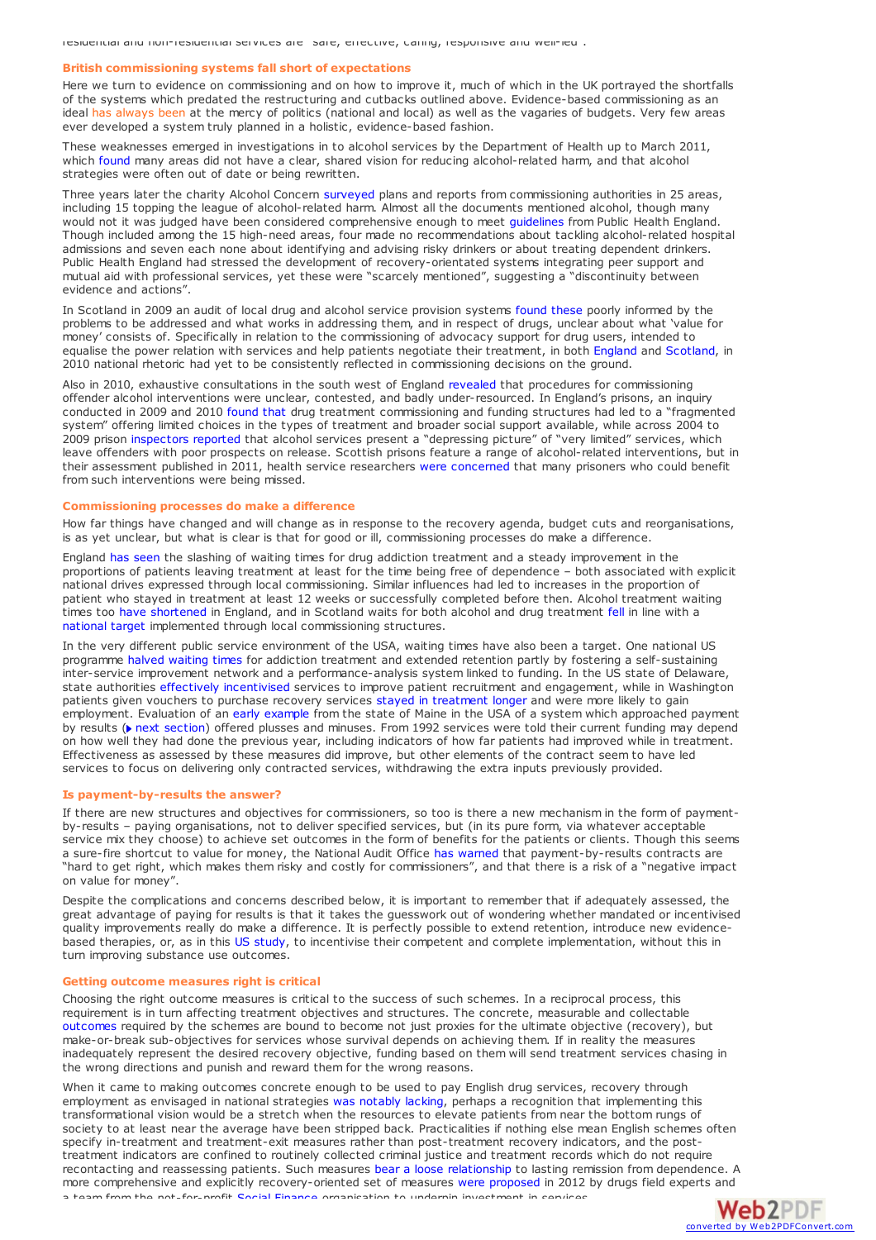residential and non-residential services are "safe, effective, caring, responsive and well-led".

## <span id="page-2-0"></span>**British commissioning systems fall short of expectations**

Here we turn to evidence on commissioning and on how to improve it, much of which in the UK portrayed the shortfalls of the systems which predated the restructuring and cutbacks outlined above. Evidence-based commissioning as an ideal has always been at the mercy of politics (national and local) as well as the vagaries of budgets. Very few areas ever developed a system truly planned in a holistic, evidence-based fashion.

These weaknesses emerged in investigations in to alcohol services by the Department of Health up to March 2011, which [found](https://findings.org.uk/PHP/dl.php?file=Alcohol_Harm_Reduction_National_Support_Team_1.cab&s=eb) many areas did not have a clear, shared vision for reducing alcohol-related harm, and that alcohol strategies were often out of date or being rewritten.

Three years later the charity Alcohol Concern [surveyed](http://www.alcoholconcern.org.uk/wp-content/uploads/woocommerce_uploads/2014/10/JSNA-Audit-Report-March-2014.pdf) plans and reports from commissioning authorities in 25 areas, including 15 topping the league of alcohol-related harm. Almost all the documents mentioned alcohol, though many would not it was judged have been considered comprehensive enough to meet [guidelines](http://www.nta.nhs.uk/healthcare-JSNA.aspx) from Public Health England. Though included among the 15 high-need areas, four made no recommendations about tackling alcohol-related hospital admissions and seven each none about identifying and advising risky drinkers or about treating dependent drinkers. Public Health England had stressed the development of recovery-orientated systems integrating peer support and mutual aid with professional services, yet these were "scarcely mentioned", suggesting <sup>a</sup> "discontinuity between evidence and actions".

In Scotland in 2009 an audit of local drug and alcohol service provision systems [found](https://findings.org.uk/PHP/dl.php?file=Audit_Scotland_1.txt&s=eb) these poorly informed by the problems to be addressed and what works in addressing them, and in respect of drugs, unclear about what 'value for<br>money' consists of. Specifically in relation to the commissioning of advocacy support for drug users, inten equalise the power relation with services and help patients negotiate their treatment, in both [England](https://findings.org.uk/PHP/dl.php?file=Cargill_T_1.txt&s=eb) and [Scotland](http://www.siaa.org.uk/resources/publications-list/available-for-all/), in 2010 national rhetoric had yet to be consistently reflected in commissioning decisions on the ground.

Also in 2010, exhaustive consultations in the south west of England [revealed](https://findings.org.uk/PHP/dl.php?file=Fitzpatrick_R_1.cab&s=eb) that procedures for commissioning offender alcohol interventions were unclear, contested, and badly under-resourced. In England's prisons, an inquiry conducted in 2009 and 2010 [found](https://findings.org.uk/PHP/dl.php?file=Patel_K_1.cab&s=eb) that drug treatment commissioning and funding structures had led to a "fragmented system" offering limited choices in the types of treatment and broader social support available, while across 2004 to 2009 prison [inspectors](https://findings.org.uk/PHP/dl.php?file=HM_Inspectorate_of_Prisons_1.cab&s=eb) reported that alcohol services present a "depressing picture" of "very limited" services, which leave offenders with poor prospects on release. Scottish prisons feature a range of alcohol-related interventions, but in their assessment published in 2011, health service researchers were [concerned](https://findings.org.uk/PHP/dl.php?file=Parkes_T_1.cab&s=eb) that many prisoners who could benefit from such interventions were being missed.

#### **Commissioning processes do make a difference**

How far things have changed and will change as in response to the recovery agenda, budget cuts and reorganisations, is as yet unclear, but what is clear is that for good or ill, commissioning processes do make a difference.

England has [seen](http://www.findings.org.uk/PHP/dl.php?file=PHE_22.txt&s=eb) the slashing of waiting times for drug addiction treatment and a steady improvement in the proportions of patients leaving treatment at least for the time being free of dependence – both associated with explicit national drives expressed through local commissioning. Similar influences had led to increases in the proportion of patient who stayed in treatment at least 12 weeks or successfully completed before then. Alcohol treatment waiting times too have [shortened](http://www.findings.org.uk/PHP/dl.php?file=PHE_18.txt&s=eb) in England, and in Scotland waits for both alcohol and drug treatment [fell](https://isdscotland.scot.nhs.uk/Health-Topics/Drugs-and-Alcohol-Misuse/Publications/2016-03-29/2016-03-29-DATWT-Report.pdf?22101992369) in line with a [national](http://www.isdscotland.org/Health-Topics/Waiting-Times/Drugs-and-Alcohol/) target implemented through local commissioning structures.

In the very different public service environment of the USA, waiting times have also been a target. One national US programme halved [waiting](https://findings.org.uk/PHP/dl.php?file=Hoffman_KA_1.txt&s=eb) times for addiction treatment and extended retention partly by fostering a self-sustaining inter-service improvement network and a performance-analysis system linked to funding. In the US state of Delaware, state authorities effectively [incentivised](https://findings.org.uk/PHP/dl.php?file=McLellan_AT_20.txt&s=eb) services to improve patient recruitment and engagement, while in Washington patients given vouchers to purchase recovery services stayed in [treatment](http://dx.doi.org/10.1016/j.jsat.2009.05.007) longer and were more likely to gain employment. Evaluation of an early [example](https://findings.org.uk/PHP/dl.php?file=Commons_M_1.txt&s=eb) from the state of Maine in the USA of a system which approached payment by results ( $\triangleright$  next [section](#page-2-1)) offered plusses and minuses. From 1992 services were told their current funding may depend on how well they had done the previous year, including indicators of how far patients had improved while in treatment. Effectiveness as assessed by these measures did improve, but other elements of the contract seem to have led services to focus on delivering only contracted services, withdrawing the extra inputs previously provided.

## <span id="page-2-1"></span>**Is payment-by-results the answer?**

If there are new structures and objectives for commissioners, so too is there a new mechanism in the form of paymentby-results – paying organisations, not to deliver specified services, but (in its pure form, via whatever acceptable service mix they choose) to achieve set outcomes in the form of benefits for the patients or clients. Though this seems a sure-fire shortcut to value for money, the National Audit Office has [warned](http://www.nao.org.uk/report/outcome-based-payment-schemes-governments-use-of-payment-by-results/) that payment-by-results contracts are "hard to get right, which makes them risky and costly for commissioners", and that there is a risk of a "negative impact on value for money".

Despite the complications and concerns described below, it is important to remember that if adequately assessed, the great advantage of paying for results is that it takes the guesswork out of wondering whether mandated or incentivised quality improvements really do make a difference. It is perfectly possible to extend retention, introduce new evidencebased therapies, or, as in this US [study](https://findings.org.uk/PHP/dl.php?file=Garner_BR_12.txt&s=eb), to incentivise their competent and complete implementation, without this in turn improving substance use outcomes.

#### **Getting outcome measures right is critical**

Choosing the right outcome measures is critical to the success of such schemes. In a reciprocal process, this requirement is in turn affecting treatment objectives and structures. The concrete, measurable and collectable [outcomes](http://webarchive.nationalarchives.gov.uk/20130107105354/http://www.dh.gov.uk/prod_consum_dh/groups/dh_digitalassets/documents/digitalasset/dh_130714.pdf) required by the schemes are bound to become not just proxies for the ultimate objective (recovery), but make-or-break sub-objectives for services whose survival depends on achieving them. If in reality the measures inadequately represent the desired recovery objective, funding based on them will send treatment services chasing in the wrong directions and punish and reward them for the wrong reasons.

When it came to making outcomes concrete enough to be used to pay English drug services, recovery through employment as envisaged in national strategies was [notably](http://webarchive.nationalarchives.gov.uk/20130107105354/http://www.dh.gov.uk/prod_consum_dh/groups/dh_digitalassets/documents/digitalasset/dh_130714.pdf) lacking, perhaps a recognition that implementing this transformational vision would be a stretch when the resources to elevate patients from near the bottom rungs of society to at least near the average have been stripped back. Practicalities if nothing else mean English schemes often specify in-treatment and treatment-exit measures rather than post-treatment recovery indicators, and the posttreatment indicators are confined to routinely collected criminal justice and treatment records which do not require recontacting and reassessing patients. Such measures bear a loose [relationship](https://findings.org.uk/PHP/dl.php?file=NTA_18.cab&s=eb) to lasting remission from dependen[ce.](http://www.web2pdfconvert.com?ref=PDF) A more comprehensive and explicitly recovery-oriented set of measures were [proposed](http://www.socialfinance.org.uk/resources/social-finance/enabling-recovery) in 2012 by drugs field ex[perts](http://www.web2pdfconvert.com?ref=PDF) and a team from the not-for-profit Social [Finance](http://www.socialfinance.org.uk/) organisation to underpin investment in services.

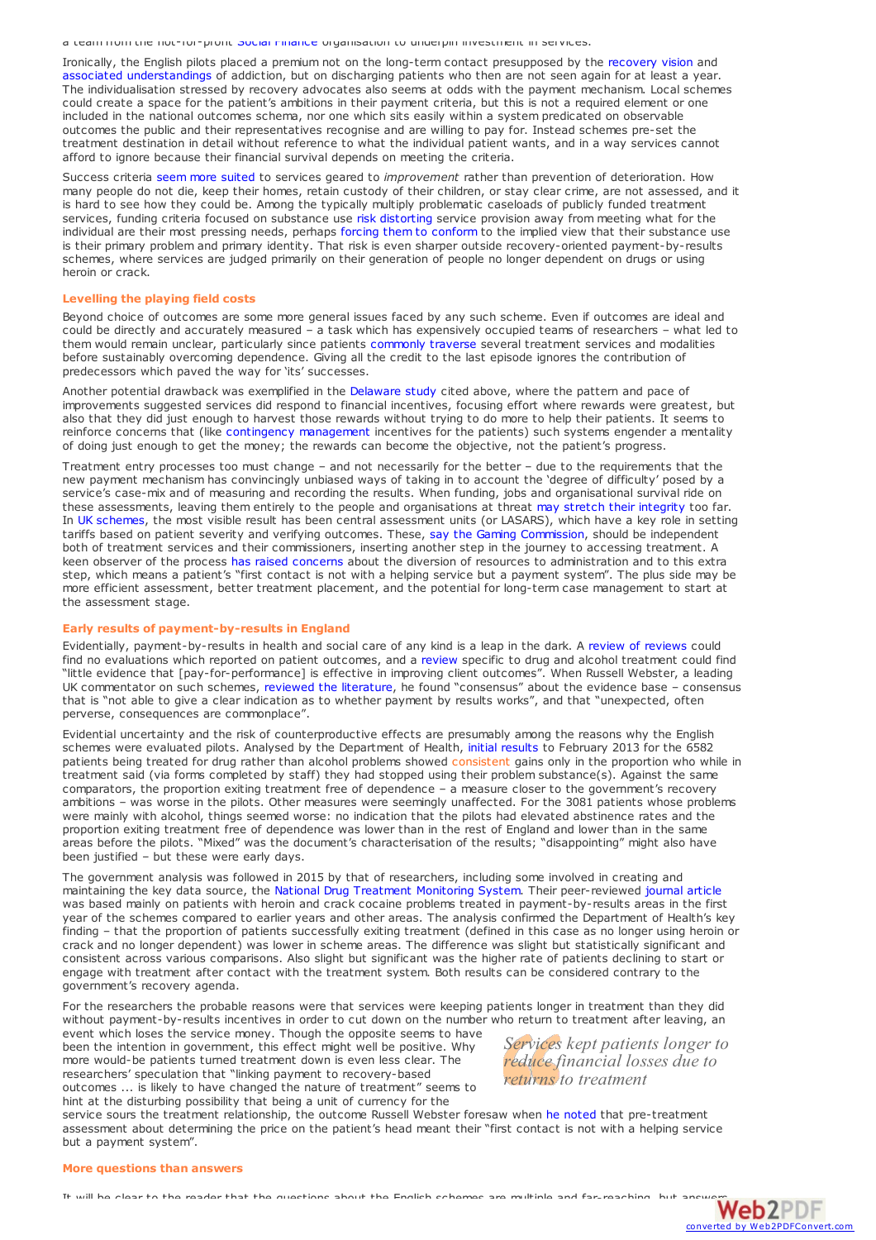a team from the not-for-profit Social Finance organisation to underpin investment in services.

Ironically, the English pilots placed a premium not on the long-term contact presupposed by the [recovery](https://findings.org.uk/PHP/dl.php?file=White_WL_13.txt&s=eb) vision and associated [understandings](http://dx.doi.org/10.1046/j.1360-0443.2002.00127.x) of addiction, but on discharging patients who then are not seen again for at least a year. The individualisation stressed by recovery advocates also seems at odds with the payment mechanism. Local schemes could create a space for the patient's ambitions in their payment criteria, but this is not a required element or one included in the national outcomes schema, nor one which sits easily within a system predicated on observable outcomes the public and their representatives recognise and are willing to pay for. Instead schemes pre-set the treatment destination in detail without reference to what the individual patient wants, and in a way services cannot afford to ignore because their financial survival depends on meeting the criteria.

Success criteria seem more [suited](http://www.revolving-doors.org.uk/documents/adding-value-reflections-on-payment-by-results/) to services geared to improvement rather than prevention of deterioration. How<br>many people do not die, keep their homes, retain custody of their children, or stay clear crime, are not asse is hard to see how they could be. Among the typically multiply problematic caseloads of publicly funded treatment services, funding criteria focused on substance use risk [distorting](http://www.revolving-doors.org.uk/documents/adding-value-reflections-on-payment-by-results/) service provision away from meeting what for the individual are their most pressing needs, perhaps forcing them to [conform](http://dx.doi.org/10.1177/1049732313487027) to the implied view that their substance use is their primary problem and primary identity. That risk is even sharper outside recovery-oriented payment-by-results schemes, where services are judged primarily on their generation of people no longer dependent on drugs or using heroin or crack.

#### **Levelling the playing field costs**

Beyond choice of outcomes are some more general issues faced by any such scheme. Even if outcomes are ideal and could be directly and accurately measured – a task which has expensively occupied teams of researchers – what led to them would remain unclear, particularly since patients [commonly](https://findings.org.uk/PHP/dl.php?file=DORIS.nug&s=eb) traverse several treatment services and modalities before sustainably overcoming dependence. Giving all the credit to the last episode ignores the contribution of predecessors which paved the way for 'its' successes.

Another potential drawback was exemplified in the [Delaware](https://findings.org.uk/PHP/dl.php?file=McLellan_AT_20.txt&s=eb) study cited above, where the pattern and pace of improvements suggested services did respond to financial incentives, focusing effort where rewards were greatest, but also that they did just enough to harvest those rewards without trying to do more to help their patients. It seems to reinforce concerns that (like contingency [management](https://findings.org.uk/PHP/dl.php?file=hot_CM.hot&s=eb) incentives for the patients) such systems engender a mentality of doing just enough to get the money; the rewards can become the objective, not the patient's progress.

Treatment entry processes too must change – and not necessarily for the better – due to the requirements that the new payment mechanism has convincingly unbiased ways of taking in to account the 'degree of difficulty' posed by a service's case-mix and of measuring and recording the results. When funding, jobs and organisational survival ride on these assessments, leaving them entirely to the people and organisations at threat may stretch their [integrity](http://recoverypbr.dh.gov.uk/files/2012/03/Gaming-Commission-Report.pdf) too far. In UK [schemes](http://recoverypbr.dh.gov.uk/), the most visible result has been central assessment units (or LASARS), which have a key role in setting tariffs based on patient severity and verifying outcomes. These, say the Gaming [Commission](http://recoverypbr.dh.gov.uk/files/2012/03/Gaming-Commission-Report.pdf), should be independent both of treatment services and their commissioners, inserting another step in the journey to accessing treatment. A keen observer of the process has raised [concerns](http://www.russellwebster.com/what-do-the-drug-recovery-pilots-teach-us-about-payment-by-results/) about the diversion of resources to administration and to this extra<br>step, which means a patient's "first contact is not with a helping service but a payment system". The pl more efficient assessment, better treatment placement, and the potential for long-term case management to start at the assessment stage.

#### **Early results of payment-by-results in England**

Evidentially, payment-by-results in health and social care of any kind is a leap in the dark. A review of [reviews](http://dx.doi.org/10.1002/14651858.CD009255) could find no evaluations which reported on patient outcomes, and a [review](https://dpmp.unsw.edu.au/project/review-drug-and-alcohol-prevention-and-treatment-services-sector) specific to drug and alcohol treatment could find "little evidence that [pay-for-performance] is effective in improving client outcomes". When Russell Webster, a leading UK commentator on such schemes, [reviewed](http://russellwebster.com/documents/Lessons from the Payment by Results literature Russell Webster 2016.pdf
) the literature, he found "consensus" about the evidence base – consensus that is "not able to give a clear indication as to whether payment by results works", and that "unexpected, often perverse, consequences are commonplace".

Evidential uncertainty and the risk of counterproductive effects are presumably among the reasons why the English schemes were evaluated pilots. Analysed by the Department of Health, initial [results](https://www.gov.uk/government/publications/performance-of-payment-by-results-pilot-areas-april-2012-to-february-2013) to February 2013 for the 6582 patients being treated for drug rather than alcohol problems showed consistent gains only in the proportion who while in treatment said (via forms completed by staff) they had stopped using their problem substance(s). Against the same comparators, the proportion exiting treatment free of dependence – a measure closer to the government's recovery ambitions – was worse in the pilots. Other measures were seemingly unaffected. For the 3081 patients whose problems were mainly with alcohol, things seemed worse: no indication that the pilots had elevated abstinence rates and the proportion exiting treatment free of dependence was lower than in the rest of England and lower than in the same areas before the pilots. "Mixed" was the document's characterisation of the results; "disappointing" might also have been justified – but these were early days.

The government analysis was followed in 2015 by that of researchers, including some involved in creating and maintaining the key data source, the National Drug [Treatment](https://www.ndtms.net/default.aspx) Monitoring System. Their peer-reviewed [journal](https://findings.org.uk/PHP/dl.php?file=Mason_T_1.txt&s=eb) artic was based mainly on patients with heroin and crack cocaine problems treated in payment-by-results areas in the first year of the schemes compared to earlier years and other areas. The analysis confirmed the Department of Health's key finding – that the proportion of patients successfully exiting treatment (defined in this case as no longer using heroin or crack and no longer dependent) was lower in scheme areas. The difference was slight but statistically significant and consistent across various comparisons. Also slight but significant was the higher rate of patients declining to start or engage with treatment after contact with the treatment system. Both results can be considered contrary to the government's recovery agenda.

For the researchers the probable reasons were that services were keeping patients longer in treatment than they did without payment-by-results incentives in order to cut down on the number who return to treatment after leaving, an

event which loses the service money. Though the opposite seems to have been the intention in government, this effect might well be positive. Why more would-be patients turned treatment down is even less clear. The researchers' speculation that "linking payment to recovery-based outcomes ... is likely to have changed the nature of treatment" seems to hint at the disturbing possibility that being a unit of currency for the

*Services kept patients longer to reduce financial losses due to returns to treatment*

service sours the treatment relationship, the outcome Russell Webster foresaw when he [noted](http://www.russellwebster.com/what-do-the-drug-recovery-pilots-teach-us-about-payment-by-results/) that pre-treatment assessment about determining the price on the patient's head meant their "first contact is not with a helping service but a payment system".

## **More questions than answers**

It will be clear to the mader that the questions about the English schemes are multiple and far-maching, but answers  $W\epsilon b 2\mathbb{P} \mathbb{D} \mathbb{F}$